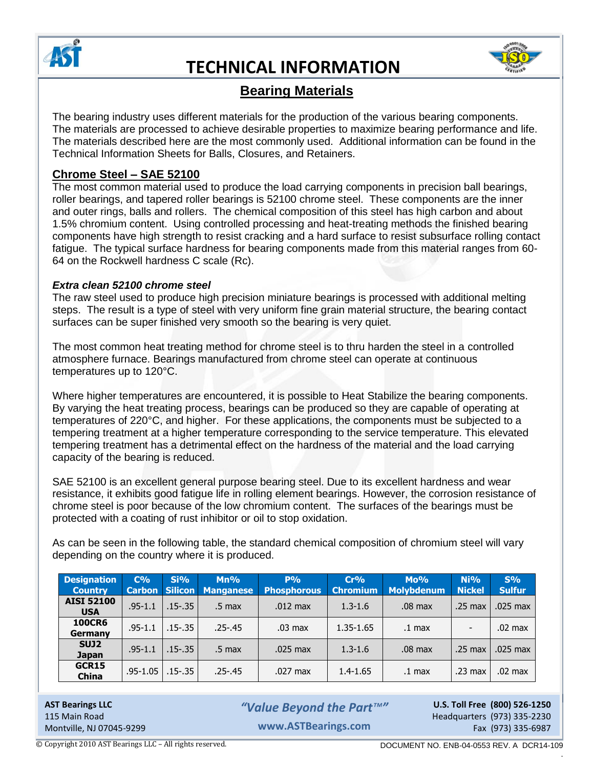



## **Bearing Materials**

The bearing industry uses different materials for the production of the various bearing components. The materials are processed to achieve desirable properties to maximize bearing performance and life. The materials described here are the most commonly used. Additional information can be found in the Technical Information Sheets for Balls, Closures, and Retainers.

### **Chrome Steel – SAE 52100**

The most common material used to produce the load carrying components in precision ball bearings, roller bearings, and tapered roller bearings is 52100 chrome steel. These components are the inner and outer rings, balls and rollers. The chemical composition of this steel has high carbon and about 1.5% chromium content. Using controlled processing and heat-treating methods the finished bearing components have high strength to resist cracking and a hard surface to resist subsurface rolling contact fatigue. The typical surface hardness for bearing components made from this material ranges from 60- 64 on the Rockwell hardness C scale (Rc).

#### *Extra clean 52100 chrome steel*

The raw steel used to produce high precision miniature bearings is processed with additional melting steps. The result is a type of steel with very uniform fine grain material structure, the bearing contact surfaces can be super finished very smooth so the bearing is very quiet.

The most common heat treating method for chrome steel is to thru harden the steel in a controlled atmosphere furnace. Bearings manufactured from chrome steel can operate at continuous temperatures up to 120°C.

Where higher temperatures are encountered, it is possible to Heat Stabilize the bearing components. By varying the heat treating process, bearings can be produced so they are capable of operating at temperatures of 220°C, and higher. For these applications, the components must be subjected to a tempering treatment at a higher temperature corresponding to the service temperature. This elevated tempering treatment has a detrimental effect on the hardness of the material and the load carrying capacity of the bearing is reduced.

SAE 52100 is an excellent general purpose bearing steel. Due to its excellent hardness and wear resistance, it exhibits good fatigue life in rolling element bearings. However, the corrosion resistance of chrome steel is poor because of the low chromium content. The surfaces of the bearings must be protected with a coating of rust inhibitor or oil to stop oxidation.

As can be seen in the following table, the standard chemical composition of chromium steel will vary depending on the country where it is produced.

| <b>Designation</b><br><b>Country</b> | $C\%$<br><b>Carbon</b> | Si%       | $Mn\%$<br><b>Silicon Manganese</b> | $P\%$<br><b>Phosphorous</b> | Cr%<br><b>Chromium</b> | $Mo\%$<br><b>Molybdenum</b> | Ni%<br><b>Nickel</b>     | S%<br><b>Sulfur</b> |
|--------------------------------------|------------------------|-----------|------------------------------------|-----------------------------|------------------------|-----------------------------|--------------------------|---------------------|
| <b>AISI 52100</b><br><b>USA</b>      | $.95 - 1.1$            | .15-.35   | .5 max                             | $.012$ max                  | $1.3 - 1.6$            | .08 <sub>max</sub>          | $.25 \text{ max}$        | .025 max            |
| <b>100CR6</b><br>Germany             | $.95 - 1.1$            | $.15-.35$ | $.25 - .45$                        | $.03 \text{ max}$           | 1.35-1.65              | .1 <sub>max</sub>           | $\overline{\phantom{a}}$ | $.02$ max           |
| SUJ <sub>2</sub><br><b>Japan</b>     | $.95 - 1.1$            | .15-.35   | .5 <sub>max</sub>                  | $.025$ max                  | $1.3 - 1.6$            | .08 <sub>max</sub>          | $.25 \text{ max}$        | $.025$ max          |
| GCR15<br><b>China</b>                | $.95 - 1.05$           | $.15-.35$ | $.25 - .45$                        | $.027$ max                  | $1.4 - 1.65$           | .1 <sub>max</sub>           | .23 <sub>max</sub>       | $.02$ max           |

**AST Bearings LLC U.S. Toll Free (800) 526-1250** *"Value Beyond the Part™"* 115 Main Road Headquarters (973) 335-2230 Montville, NJ 07045-9299 **Example 2018** Fax (973) 335-6987 **www.ASTBearings.com**

.

© Copyright 2010 AST Bearings LLC – All rights reserved. DOCUMENT NO. ENB-04-0553 REV. A DCR14-109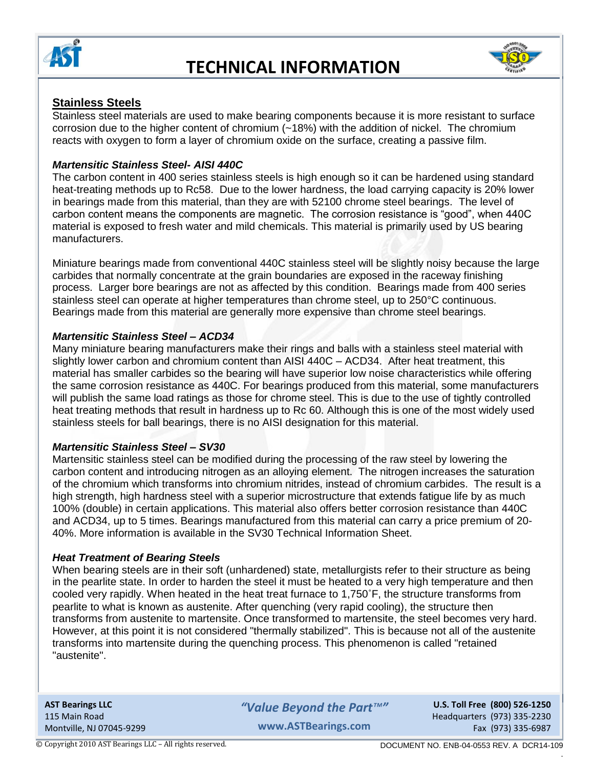



## **Stainless Steels**

Stainless steel materials are used to make bearing components because it is more resistant to surface corrosion due to the higher content of chromium (~18%) with the addition of nickel. The chromium reacts with oxygen to form a layer of chromium oxide on the surface, creating a passive film.

#### *Martensitic Stainless Steel- AISI 440C*

The carbon content in 400 series stainless steels is high enough so it can be hardened using standard heat-treating methods up to Rc58. Due to the lower hardness, the load carrying capacity is 20% lower in bearings made from this material, than they are with 52100 chrome steel bearings. The level of carbon content means the components are magnetic. The corrosion resistance is "good", when 440C material is exposed to fresh water and mild chemicals. This material is primarily used by US bearing manufacturers.

Miniature bearings made from conventional 440C stainless steel will be slightly noisy because the large carbides that normally concentrate at the grain boundaries are exposed in the raceway finishing process. Larger bore bearings are not as affected by this condition. Bearings made from 400 series stainless steel can operate at higher temperatures than chrome steel, up to 250°C continuous. Bearings made from this material are generally more expensive than chrome steel bearings.

### *Martensitic Stainless Steel – ACD34*

Many miniature bearing manufacturers make their rings and balls with a stainless steel material with slightly lower carbon and chromium content than AISI 440C – ACD34. After heat treatment, this material has smaller carbides so the bearing will have superior low noise characteristics while offering the same corrosion resistance as 440C. For bearings produced from this material, some manufacturers will publish the same load ratings as those for chrome steel. This is due to the use of tightly controlled heat treating methods that result in hardness up to Rc 60. Although this is one of the most widely used stainless steels for ball bearings, there is no AISI designation for this material.

#### *Martensitic Stainless Steel – SV30*

Martensitic stainless steel can be modified during the processing of the raw steel by lowering the carbon content and introducing nitrogen as an alloying element. The nitrogen increases the saturation of the chromium which transforms into chromium nitrides, instead of chromium carbides. The result is a high strength, high hardness steel with a superior microstructure that extends fatigue life by as much 100% (double) in certain applications. This material also offers better corrosion resistance than 440C and ACD34, up to 5 times. Bearings manufactured from this material can carry a price premium of 20- 40%. More information is available in the SV30 Technical Information Sheet.

#### *Heat Treatment of Bearing Steels*

When bearing steels are in their soft (unhardened) state, metallurgists refer to their structure as being in the pearlite state. In order to harden the steel it must be heated to a very high temperature and then cooled very rapidly. When heated in the heat treat furnace to 1,750˚F, the structure transforms from pearlite to what is known as austenite. After quenching (very rapid cooling), the structure then transforms from austenite to martensite. Once transformed to martensite, the steel becomes very hard. However, at this point it is not considered "thermally stabilized". This is because not all of the austenite transforms into martensite during the quenching process. This phenomenon is called "retained "austenite".

**AST Bearings LLC U.S. Toll Free (800) 526-1250** *"Value Beyond the Part™"* 115 Main Road Headquarters (973) 335-2230 Montville, NJ 07045-9299 **Fax (973) 335-6987 Exided WWW.ASTBearings.com** Fax (973) 335-6987 **www.ASTBearings.com**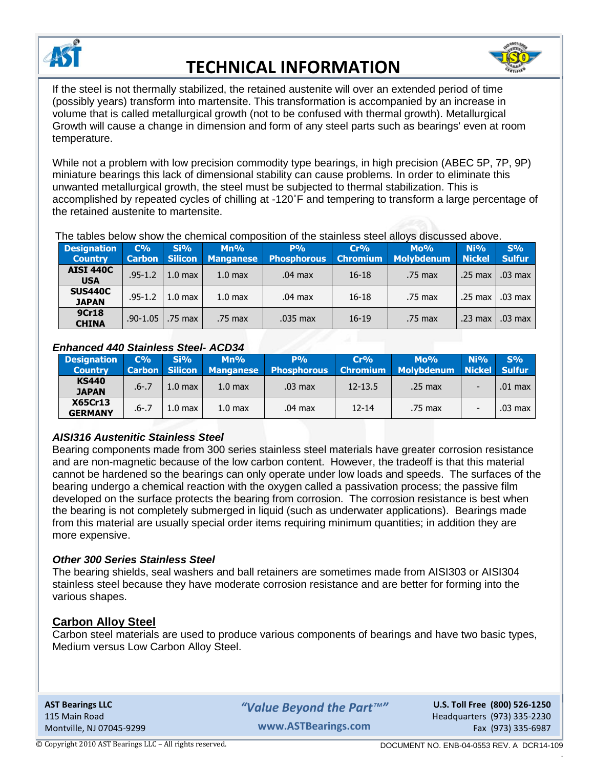



If the steel is not thermally stabilized, the retained austenite will over an extended period of time (possibly years) transform into martensite. This transformation is accompanied by an increase in volume that is called metallurgical growth (not to be confused with thermal growth). Metallurgical Growth will cause a change in dimension and form of any steel parts such as bearings' even at room temperature.

While not a problem with low precision commodity type bearings, in high precision (ABEC 5P, 7P, 9P) miniature bearings this lack of dimensional stability can cause problems. In order to eliminate this unwanted metallurgical growth, the steel must be subjected to thermal stabilization. This is accomplished by repeated cycles of chilling at -120˚F and tempering to transform a large percentage of the retained austenite to martensite.

The tables below show the chemical composition of the stainless steel alloys discussed above.

| <b>Designation</b><br><b>Country</b> | $C\%$<br><b>Carbon</b> | Si%<br>Silicon     | $Mn\%$<br><b>Manganese</b> | $P\%$<br><b>Phosphorous</b> | Cr%<br><b>Chromium</b> | $Mo\%$<br><b>Molybdenum</b> | Ni%<br><b>Nickel</b> | S%<br><b>Sulfur</b> |
|--------------------------------------|------------------------|--------------------|----------------------------|-----------------------------|------------------------|-----------------------------|----------------------|---------------------|
| <b>AISI 440C</b><br><b>USA</b>       | $.95 - 1.2$            | 1.0 <sub>max</sub> | 1.0 <sub>max</sub>         | $.04$ max                   | $16 - 18$              | .75 max                     | $.25 \text{ max}$    | $.03 \text{ max}$   |
| <b>SUS440C</b><br><b>JAPAN</b>       | $.95 - 1.2$            | 1.0 <sub>max</sub> | 1.0 <sub>max</sub>         | $.04$ max                   | $16 - 18$              | .75 max                     | $.25 \text{ max}$    | .03 max             |
| <b>9Cr18</b><br><b>CHINA</b>         | $.90 - 1.05$           | .75 max            | .75 max                    | .035 max                    | $16-19$                | .75 max                     | .23 <sub>max</sub>   | .03 max             |

### *Enhanced 440 Stainless Steel- ACD34*

| <b>Designation</b><br>Country    | $C\%$     | Si%                | $Mn\%$<br><b>Carbon Silicon Manganese</b> | $P\%$<br><b>Phosphorous</b> | Cr%<br><b>Chromium</b> | $Mo\%$<br>Molybdenum Nickel Sulfur | $Ni$ % | S%        |
|----------------------------------|-----------|--------------------|-------------------------------------------|-----------------------------|------------------------|------------------------------------|--------|-----------|
| <b>KS440</b><br><b>JAPAN</b>     | $.6 - .7$ | 1.0 <sub>max</sub> | 1.0 <sub>max</sub>                        | $.03 \text{ max}$           | $12 - 13.5$            | $.25 \text{ max}$                  |        | $.01$ max |
| <b>X65Cr13</b><br><b>GERMANY</b> | $.6 - .7$ | 1.0 <sub>max</sub> | 1.0 <sub>max</sub>                        | $.04$ max                   | $12 - 14$              | .75 max                            |        | .03 max   |

## *AISI316 Austenitic Stainless Steel*

Bearing components made from 300 series stainless steel materials have greater corrosion resistance and are non-magnetic because of the low carbon content. However, the tradeoff is that this material cannot be hardened so the bearings can only operate under low loads and speeds. The surfaces of the bearing undergo a chemical reaction with the oxygen called a passivation process; the passive film developed on the surface protects the bearing from corrosion. The corrosion resistance is best when the bearing is not completely submerged in liquid (such as underwater applications). Bearings made from this material are usually special order items requiring minimum quantities; in addition they are more expensive.

## *Other 300 Series Stainless Steel*

The bearing shields, seal washers and ball retainers are sometimes made from AISI303 or AISI304 stainless steel because they have moderate corrosion resistance and are better for forming into the various shapes.

## **Carbon Alloy Steel**

Carbon steel materials are used to produce various components of bearings and have two basic types, Medium versus Low Carbon Alloy Steel.

**AST Bearings LLC U.S. Toll Free (800) 526-1250** *"Value Beyond the Part™"* 115 Main Road Headquarters (973) 335-2230 Montville, NJ 07045-9299 **Fax (973) 335-6987 Exided WWW.ASTBearings.com** Fax (973) 335-6987 **www.ASTBearings.com**